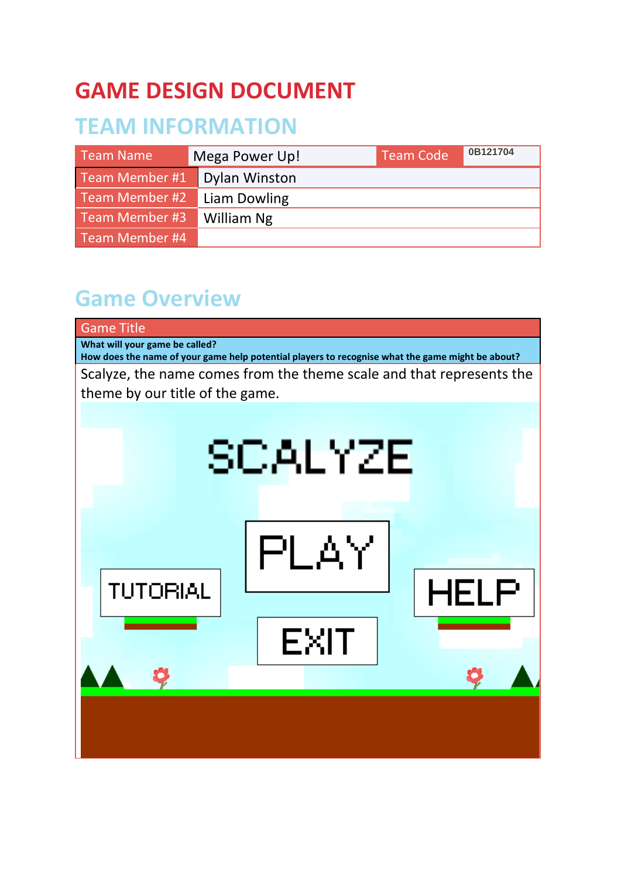# **GAME DESIGN DOCUMENT**

# **TEAM INFORMATION**

| Team Name      | Mega Power Up!       | <b>Team Code</b> | 0B121704 |
|----------------|----------------------|------------------|----------|
| Team Member #1 | <b>Dylan Winston</b> |                  |          |
| Team Member #2 | Liam Dowling         |                  |          |
| Team Member #3 | William Ng           |                  |          |
| Team Member #4 |                      |                  |          |

## **Game Overview**

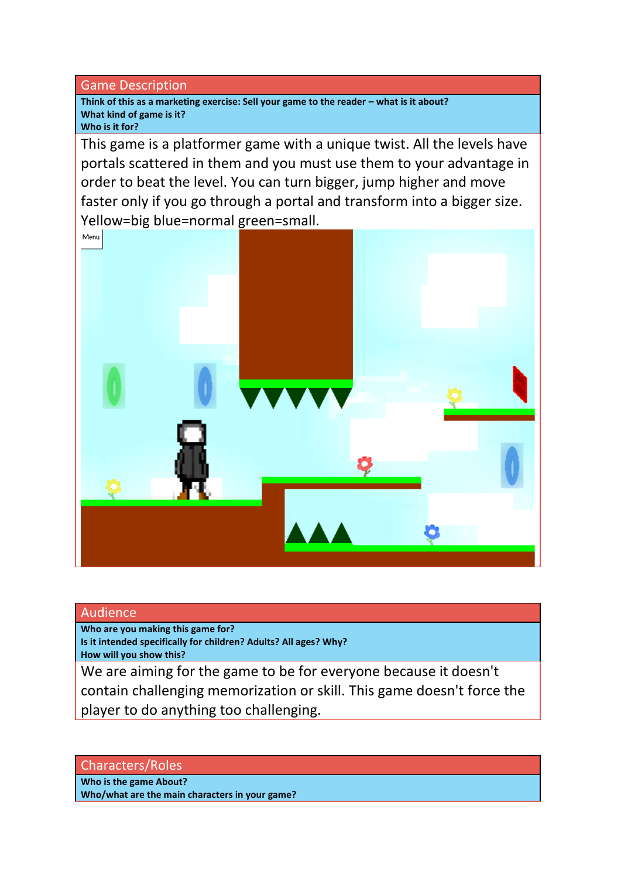Game Description

Think of this as a marketing exercise: Sell your game to the reader – what is it about? **What kind of game is it?**

**Who is it for?**

This game is a platformer game with a unique twist. All the levels have portals scattered in them and you must use them to your advantage in order to beat the level. You can turn bigger, jump higher and move faster only if you go through a portal and transform into a bigger size. Yellow=big blue=normal green=small.

Menu

### Audience

**Who are you making this game for?**

**Is it intended specifically for children? Adults? All ages? Why? How will you show this?**

We are aiming for the game to be for everyone because it doesn't contain challenging memorization or skill. This game doesn't force the player to do anything too challenging.

Characters/Roles

**Who is the game About? Who/what are the main characters in your game?**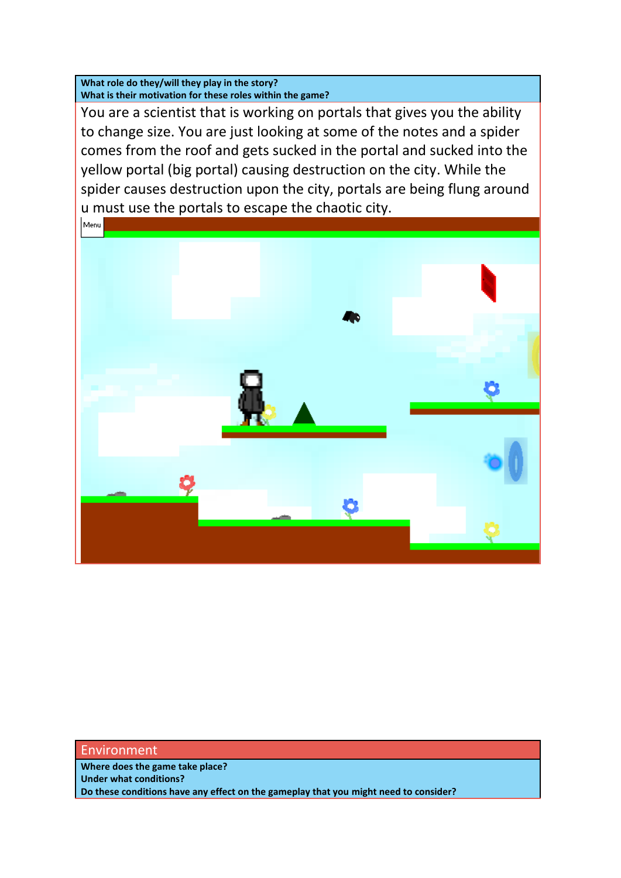**What role do they/will they play in the story? What is their motivation for these roles within the game?**

You are a scientist that is working on portals that gives you the ability to change size. You are just looking at some of the notes and a spider comes from the roof and gets sucked in the portal and sucked into the yellow portal (big portal) causing destruction on the city. While the spider causes destruction upon the city, portals are being flung around u must use the portals to escape the chaotic city.



#### Environment

**Where does the game take place? Under what conditions? Do these conditions have any effect on the gameplay that you might need to consider?**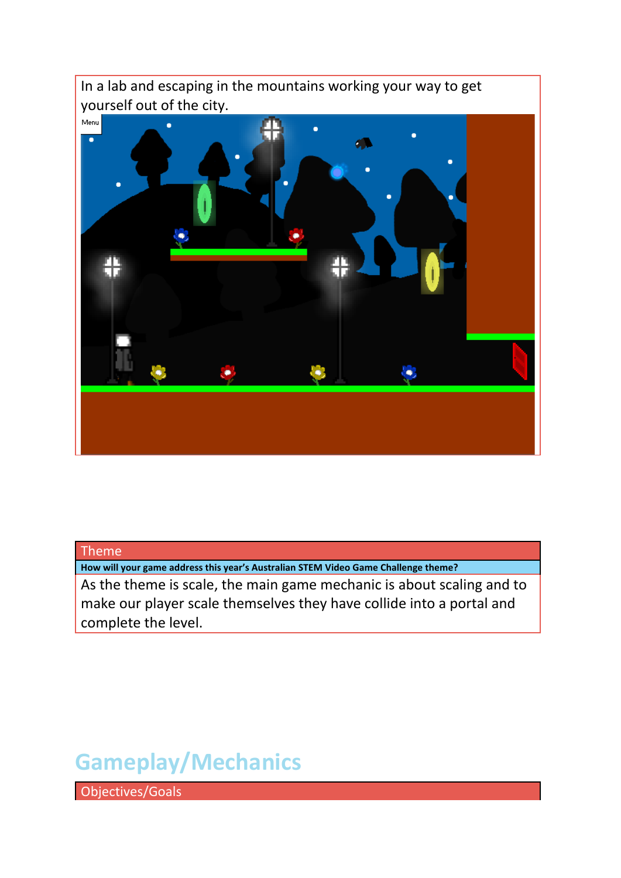

### Theme

**How will your game address this year's Australian STEM Video Game Challenge theme?**

As the theme is scale, the main game mechanic is about scaling and to make our player scale themselves they have collide into a portal and complete the level.

# **Gameplay/Mechanics**

Objectives/Goals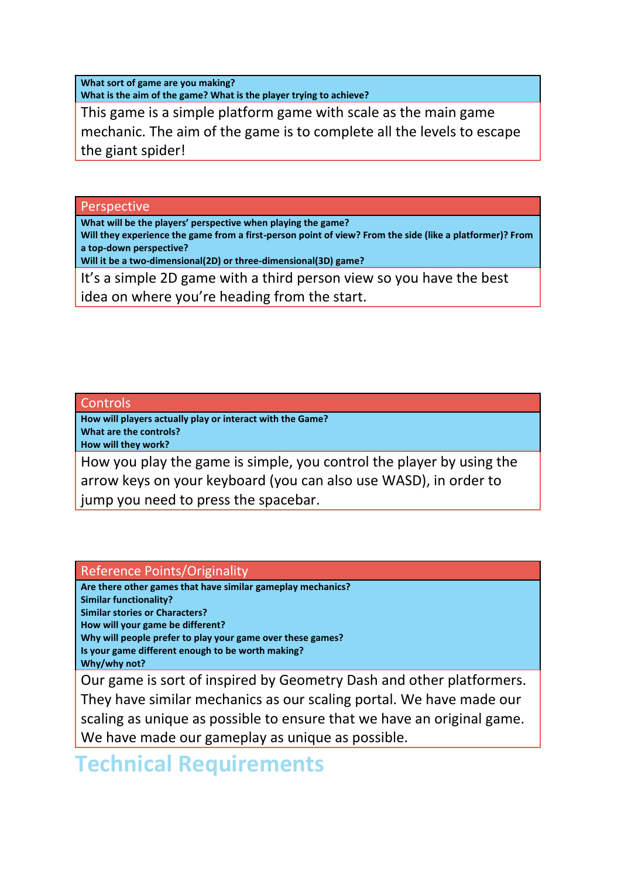**What sort of game are you making?** 

**What is the aim of the game? What is the player trying to achieve?**

This game is a simple platform game with scale as the main game mechanic. The aim of the game is to complete all the levels to escape the giant spider!

Perspective

**What will be the players' perspective when playing the game?**

**Will they experience the game from a first-person point of view? From the side (like a platformer)? From a top-down perspective?**

**Will it be a two-dimensional(2D) or three-dimensional(3D) game?**

It's a simple 2D game with a third person view so you have the best idea on where you're heading from the start.

### Controls

**How will players actually play or interact with the Game? What are the controls?**

**How will they work?**

How you play the game is simple, you control the player by using the arrow keys on your keyboard (you can also use WASD), in order to jump you need to press the spacebar.

Reference Points/Originality

**Are there other games that have similar gameplay mechanics? Similar functionality? Similar stories or Characters? How will your game be different? Why will people prefer to play your game over these games? Is your game different enough to be worth making? Why/why not?**

Our game is sort of inspired by Geometry Dash and other platformers. They have similar mechanics as our scaling portal. We have made our scaling as unique as possible to ensure that we have an original game. We have made our gameplay as unique as possible.

### **Technical Requirements**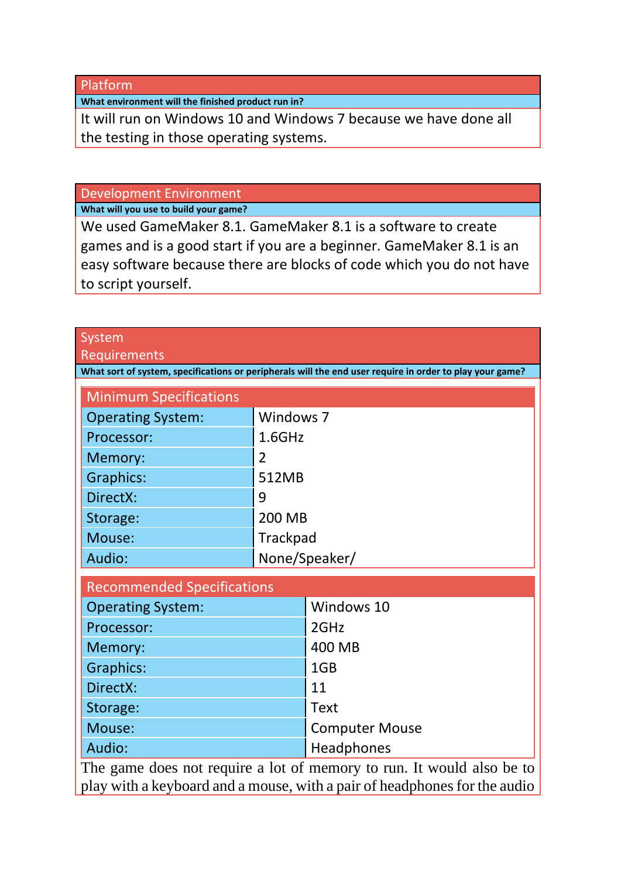Platform

**What environment will the finished product run in?**

It will run on Windows 10 and Windows 7 because we have done all the testing in those operating systems.

Development Environment

**What will you use to build your game?**

We used GameMaker 8.1. GameMaker 8.1 is a software to create games and is a good start if you are a beginner. GameMaker 8.1 is an easy software because there are blocks of code which you do not have to script yourself.

| System                                                                                                                                             |   |                       |  |  |  |
|----------------------------------------------------------------------------------------------------------------------------------------------------|---|-----------------------|--|--|--|
| <b>Requirements</b><br>What sort of system, specifications or peripherals will the end user require in order to play your game?                    |   |                       |  |  |  |
|                                                                                                                                                    |   |                       |  |  |  |
| <b>Minimum Specifications</b>                                                                                                                      |   |                       |  |  |  |
| <b>Operating System:</b>                                                                                                                           |   | Windows 7             |  |  |  |
| Processor:                                                                                                                                         |   | $1.6$ GHz             |  |  |  |
| Memory:                                                                                                                                            | 2 |                       |  |  |  |
| <b>Graphics:</b>                                                                                                                                   |   | 512MB                 |  |  |  |
| DirectX:                                                                                                                                           | 9 |                       |  |  |  |
| Storage:                                                                                                                                           |   | 200 MB                |  |  |  |
| Mouse:                                                                                                                                             |   | Trackpad              |  |  |  |
| Audio:                                                                                                                                             |   | None/Speaker/         |  |  |  |
| <b>Recommended Specifications</b>                                                                                                                  |   |                       |  |  |  |
| <b>Operating System:</b>                                                                                                                           |   | Windows 10            |  |  |  |
| Processor:                                                                                                                                         |   | 2GHz                  |  |  |  |
| Memory:                                                                                                                                            |   | 400 MB                |  |  |  |
| <b>Graphics:</b>                                                                                                                                   |   | 1GB                   |  |  |  |
| DirectX:                                                                                                                                           |   | 11                    |  |  |  |
| Storage:                                                                                                                                           |   | <b>Text</b>           |  |  |  |
| Mouse:                                                                                                                                             |   | <b>Computer Mouse</b> |  |  |  |
| Audio:                                                                                                                                             |   | Headphones            |  |  |  |
| The game does not require a lot of memory to run. It would also be to<br>play with a keyboard and a mouse, with a pair of headphones for the audio |   |                       |  |  |  |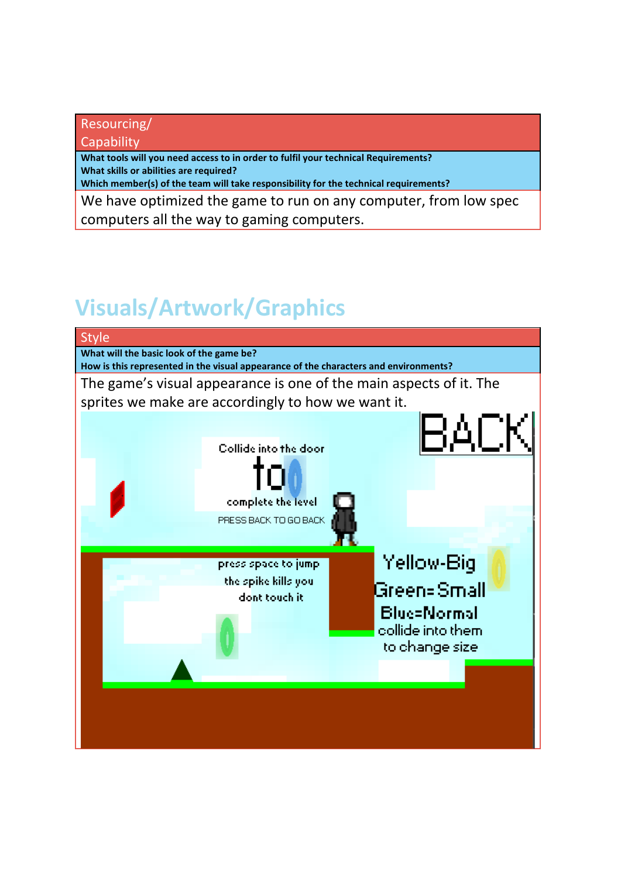### Resourcing/

**Capability** 

**What tools will you need access to in order to fulfil your technical Requirements? What skills or abilities are required?**

**Which member(s) of the team will take responsibility for the technical requirements?**

We have optimized the game to run on any computer, from low spec computers all the way to gaming computers.

# **Visuals/Artwork/Graphics**

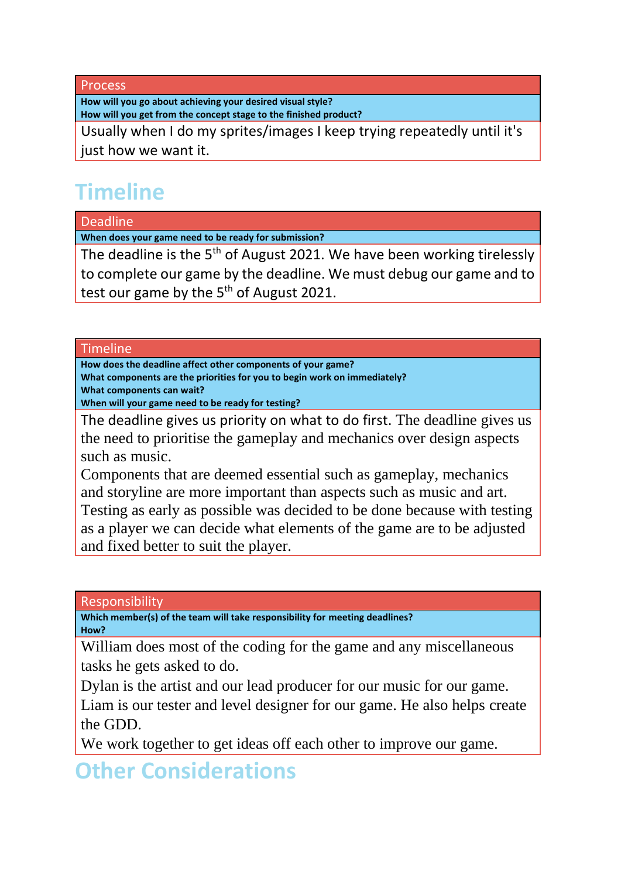Process

**How will you go about achieving your desired visual style? How will you get from the concept stage to the finished product?**

Usually when I do my sprites/images I keep trying repeatedly until it's just how we want it.

# **Timeline**

Deadline

**When does your game need to be ready for submission?**

The deadline is the  $5<sup>th</sup>$  of August 2021. We have been working tirelessly to complete our game by the deadline. We must debug our game and to test our game by the  $5<sup>th</sup>$  of August 2021.

### Timeline

**How does the deadline affect other components of your game? What components are the priorities for you to begin work on immediately? What components can wait?**

**When will your game need to be ready for testing?**

The deadline gives us priority on what to do first. The deadline gives us the need to prioritise the gameplay and mechanics over design aspects such as music.

Components that are deemed essential such as gameplay, mechanics and storyline are more important than aspects such as music and art. Testing as early as possible was decided to be done because with testing as a player we can decide what elements of the game are to be adjusted and fixed better to suit the player.

### Responsibility

**Which member(s) of the team will take responsibility for meeting deadlines? How?**

William does most of the coding for the game and any miscellaneous tasks he gets asked to do.

Dylan is the artist and our lead producer for our music for our game. Liam is our tester and level designer for our game. He also helps create the GDD.

We work together to get ideas off each other to improve our game.

**Other Considerations**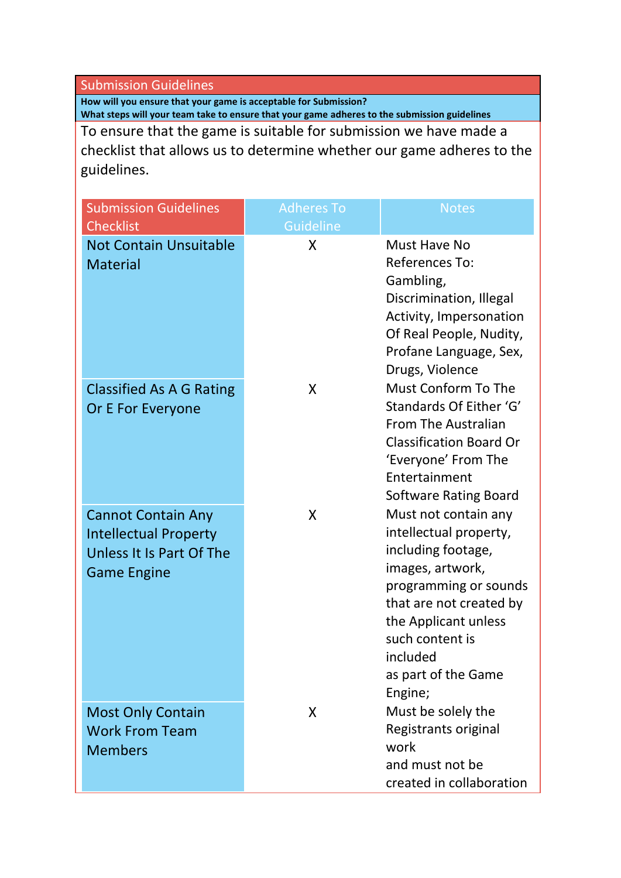#### Submission Guidelines

**How will you ensure that your game is acceptable for Submission? What steps will your team take to ensure that your game adheres to the submission guidelines**

To ensure that the game is suitable for submission we have made a checklist that allows us to determine whether our game adheres to the guidelines.

| <b>Submission Guidelines</b><br><b>Checklist</b>                                                            | <b>Adheres To</b><br><b>Guideline</b> | <b>Notes</b>                                                                                                                                                                                                                          |
|-------------------------------------------------------------------------------------------------------------|---------------------------------------|---------------------------------------------------------------------------------------------------------------------------------------------------------------------------------------------------------------------------------------|
| <b>Not Contain Unsuitable</b><br><b>Material</b>                                                            | X                                     | Must Have No<br>References To:<br>Gambling,<br>Discrimination, Illegal<br>Activity, Impersonation<br>Of Real People, Nudity,<br>Profane Language, Sex,<br>Drugs, Violence                                                             |
| <b>Classified As A G Rating</b><br>Or E For Everyone                                                        | X                                     | <b>Must Conform To The</b><br>Standards Of Either 'G'<br><b>From The Australian</b><br><b>Classification Board Or</b><br>'Everyone' From The<br>Entertainment<br><b>Software Rating Board</b>                                         |
| <b>Cannot Contain Any</b><br><b>Intellectual Property</b><br>Unless It Is Part Of The<br><b>Game Engine</b> | X                                     | Must not contain any<br>intellectual property,<br>including footage,<br>images, artwork,<br>programming or sounds<br>that are not created by<br>the Applicant unless<br>such content is<br>included<br>as part of the Game<br>Engine; |
| <b>Most Only Contain</b><br><b>Work From Team</b><br><b>Members</b>                                         | X                                     | Must be solely the<br>Registrants original<br>work<br>and must not be<br>created in collaboration                                                                                                                                     |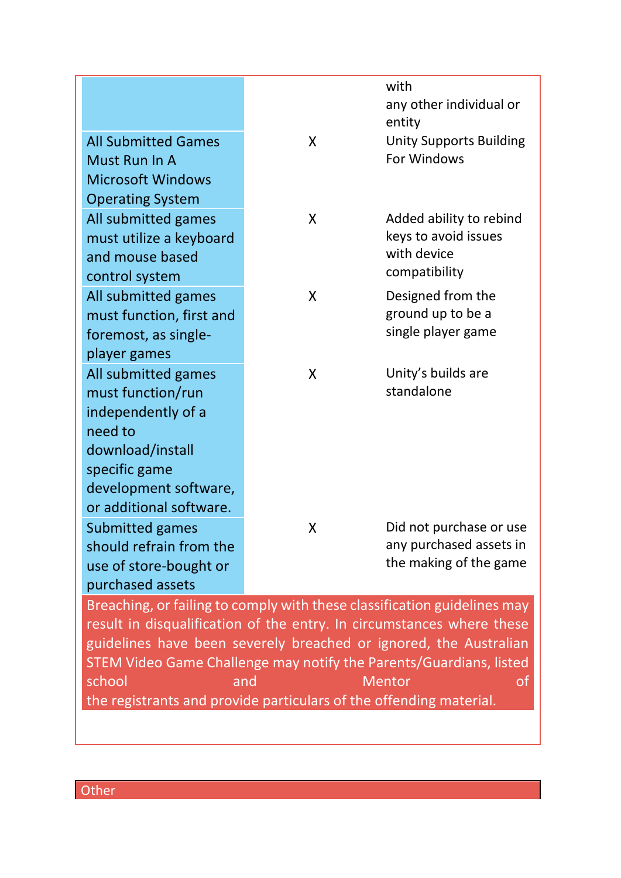|                                                                          |   | with<br>any other individual or          |  |  |  |
|--------------------------------------------------------------------------|---|------------------------------------------|--|--|--|
| <b>All Submitted Games</b>                                               | X | entity<br><b>Unity Supports Building</b> |  |  |  |
| Must Run In A                                                            |   | For Windows                              |  |  |  |
| <b>Microsoft Windows</b>                                                 |   |                                          |  |  |  |
| <b>Operating System</b>                                                  |   |                                          |  |  |  |
| All submitted games                                                      | X | Added ability to rebind                  |  |  |  |
| must utilize a keyboard                                                  |   | keys to avoid issues<br>with device      |  |  |  |
| and mouse based                                                          |   | compatibility                            |  |  |  |
| control system                                                           |   |                                          |  |  |  |
| All submitted games                                                      | X | Designed from the<br>ground up to be a   |  |  |  |
| must function, first and                                                 |   | single player game                       |  |  |  |
| foremost, as single-                                                     |   |                                          |  |  |  |
| player games<br>All submitted games                                      | X | Unity's builds are                       |  |  |  |
| must function/run                                                        |   | standalone                               |  |  |  |
| independently of a                                                       |   |                                          |  |  |  |
| need to                                                                  |   |                                          |  |  |  |
| download/install                                                         |   |                                          |  |  |  |
| specific game                                                            |   |                                          |  |  |  |
| development software,                                                    |   |                                          |  |  |  |
| or additional software.                                                  |   |                                          |  |  |  |
| Submitted games                                                          | X | Did not purchase or use                  |  |  |  |
| should refrain from the                                                  |   | any purchased assets in                  |  |  |  |
| use of store-bought or                                                   |   | the making of the game                   |  |  |  |
| purchased assets                                                         |   |                                          |  |  |  |
| Breaching, or failing to comply with these classification guidelines may |   |                                          |  |  |  |
| result in disqualification of the entry. In circumstances where these    |   |                                          |  |  |  |
| guidelines have been severely breached or ignored, the Australian        |   |                                          |  |  |  |
| STEM Video Game Challenge may notify the Parents/Guardians, listed       |   |                                          |  |  |  |
| school<br><b>Mentor</b><br>οf<br>and                                     |   |                                          |  |  |  |
| the registrants and provide particulars of the offending material.       |   |                                          |  |  |  |